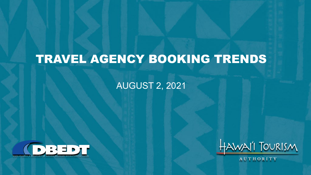## TRAVEL AGENCY BOOKING TRENDS

#### AUGUST 2, 2021





AUTHORITY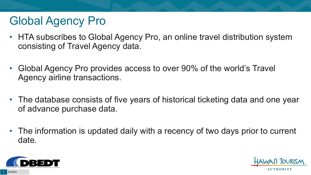# Global Agency Pro

- HTA subscribes to Global Agency Pro, an online travel distribution system consisting of Travel Agency data.
- Global Agency Pro provides access to over 90% of the world's Travel Agency airline transactions.
- The database consists of five years of historical ticketing data and one year of advance purchase data.
- The information is updated daily with a recency of two days prior to current date.



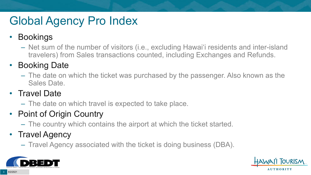# Global Agency Pro Index

#### • Bookings

– Net sum of the number of visitors (i.e., excluding Hawai'i residents and inter-island travelers) from Sales transactions counted, including Exchanges and Refunds.

#### • Booking Date

– The date on which the ticket was purchased by the passenger. Also known as the Sales Date.

#### • Travel Date

– The date on which travel is expected to take place.

#### • Point of Origin Country

– The country which contains the airport at which the ticket started.

#### • Travel Agency

– Travel Agency associated with the ticket is doing business (DBA).



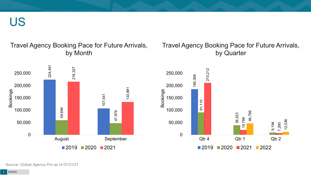US

#### Travel Agency Booking Pace for Future Arrivals, by Month

#### Travel Agency Booking Pace for Future Arrivals, by Quarter





Source: Global Agency Pro as of 07/31/21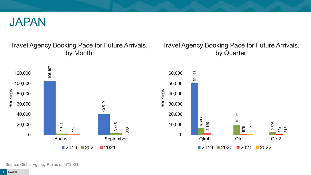

#### Travel Agency Booking Pace for Future Arrivals, by Month

#### Travel Agency Booking Pace for Future Arrivals, by Quarter

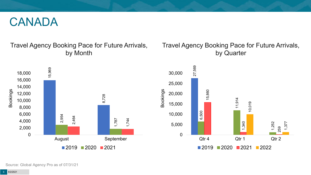#### CANADA

Travel Agency Booking Pace for Future Arrivals, by Month



#### Travel Agency Booking Pace for Future Arrivals, by Quarter



Source: Global Agency Pro as of 07/31/21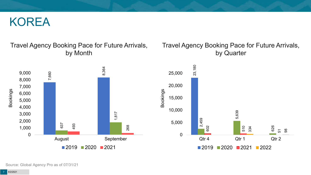#### KOREA

#### Travel Agency Booking Pace for Future Arrivals, by Month



#### Travel Agency Booking Pace for Future Arrivals, by Quarter



Source: Global Agency Pro as of 07/31/21

8/2/2021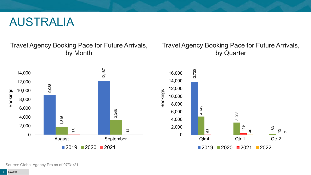#### AUSTRALIA

Travel Agency Booking Pace for Future Arrivals, by Month

#### Travel Agency Booking Pace for Future Arrivals, by Quarter



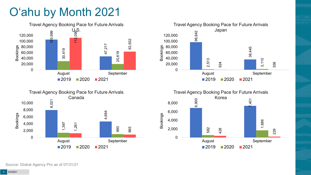# O'ahu by Month 2021









Source: Global Agency Pro as of 07/31/21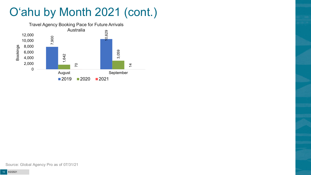# O'ahu by Month 2021 (cont.)

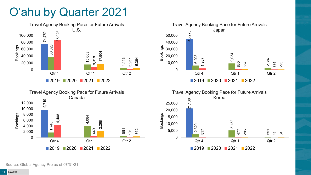## O'ahu by Quarter 2021









Source: Global Agency Pro as of 07/31/21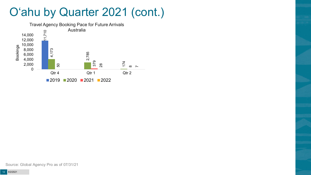### O'ahu by Quarter 2021 (cont.)

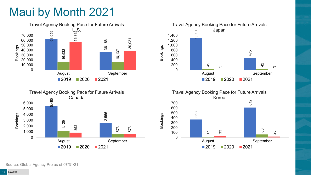## Maui by Month 2021







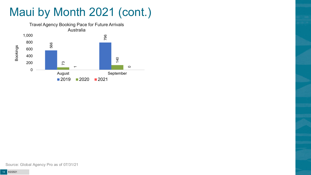# Maui by Month 2021 (cont.)



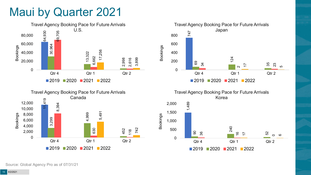### Maui by Quarter 2021











Bookings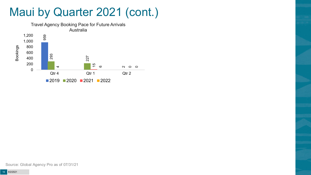### Maui by Quarter 2021 (cont.)

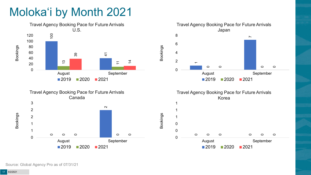# Moloka'i by Month 2021









Bookings

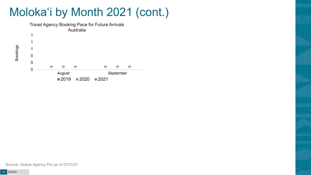## Moloka'i by Month 2021 (cont.)



Bookings

Source: Global Agency Pro as of 07/31/21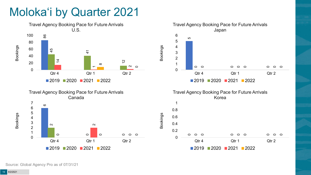## Moloka'i by Quarter 2021







Bookings

Bookings





2020 2021 2022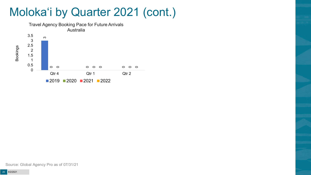### Moloka'i by Quarter 2021 (cont.)



Source: Global Agency Pro as of 07/31/21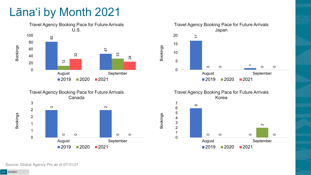## Lāna'i by Month 2021







Travel Agency Booking Pace for Future Arrivals Korea



Bookings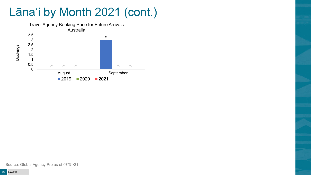# Lāna'i by Month 2021 (cont.)



Source: Global Agency Pro as of 07/31/21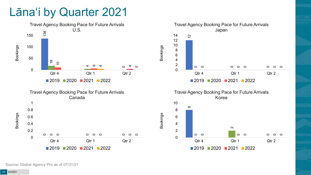### Lāna'i by Quarter 2021

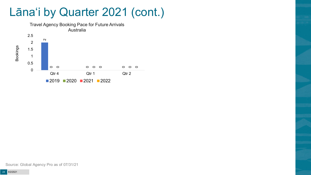### Lāna'i by Quarter 2021 (cont.)



Source: Global Agency Pro as of 07/31/21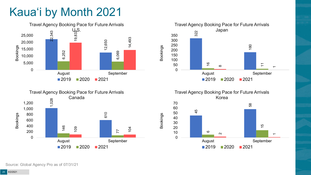# Kaua'i by Month 2021







Travel Agency Booking Pace for Future Arrivals Korea

Bookings

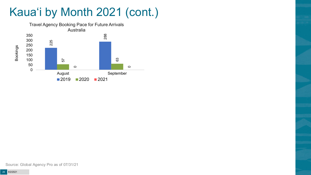# Kaua'i by Month 2021 (cont.)

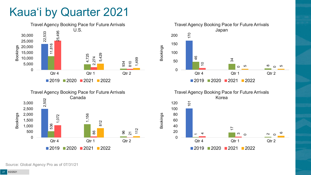## Kaua'i by Quarter 2021







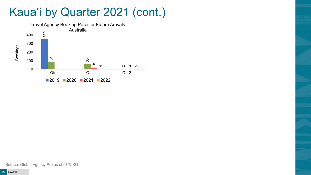### Kaua'i by Quarter 2021 (cont.)

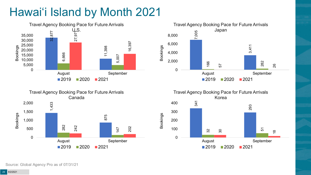# Hawai'i Island by Month 2021







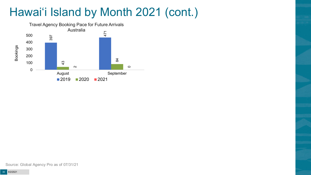# Hawai'i Island by Month 2021 (cont.)

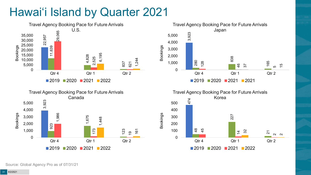# Hawai'i Island by Quarter 2021